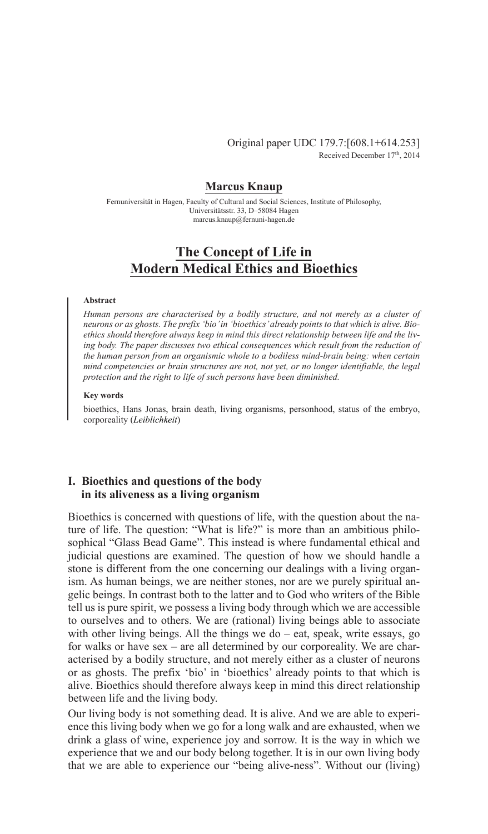Original paper UDC 179.7:[608.1+614.253] Received December 17th, 2014

# **Marcus Knaup**

Fernuniversität in Hagen, Faculty of Cultural and Social Sciences, Institute of Philosophy, Universitätsstr. 33, D–58084 Hagen marcus.knaup@fernuni-hagen.de

# **The Concept of Life in Modern Medical Ethics and Bioethics**

### **Abstract**

*Human persons are characterised by a bodily structure, and not merely as a cluster of neurons or as ghosts. The prefix 'bio' in 'bioethics' already points to that which is alive. Bioethics should therefore always keep in mind this direct relationship between life and the living body. The paper discusses two ethical consequences which result from the reduction of the human person from an organismic whole to a bodiless mind-brain being: when certain mind competencies or brain structures are not, not yet, or no longer identifiable, the legal protection and the right to life of such persons have been diminished.*

### **Key words**

bioethics, Hans Jonas, brain death, living organisms, personhood, status of the embryo, corporeality (*Leiblichkeit*)

# **I. Bioethics and questions of the body in its aliveness as a living organism**

Bioethics is concerned with questions of life, with the question about the nature of life. The question: "What is life?" is more than an ambitious philosophical "Glass Bead Game". This instead is where fundamental ethical and judicial questions are examined. The question of how we should handle a stone is different from the one concerning our dealings with a living organism. As human beings, we are neither stones, nor are we purely spiritual angelic beings. In contrast both to the latter and to God who writers of the Bible tell us is pure spirit, we possess a living body through which we are accessible to ourselves and to others. We are (rational) living beings able to associate with other living beings. All the things we do – eat, speak, write essays, go for walks or have sex – are all determined by our corporeality. We are characterised by a bodily structure, and not merely either as a cluster of neurons or as ghosts. The prefix 'bio' in 'bioethics' already points to that which is alive. Bioethics should therefore always keep in mind this direct relationship between life and the living body.

Our living body is not something dead. It is alive. And we are able to experience this living body when we go for a long walk and are exhausted, when we drink a glass of wine, experience joy and sorrow. It is the way in which we experience that we and our body belong together. It is in our own living body that we are able to experience our "being alive-ness". Without our (living)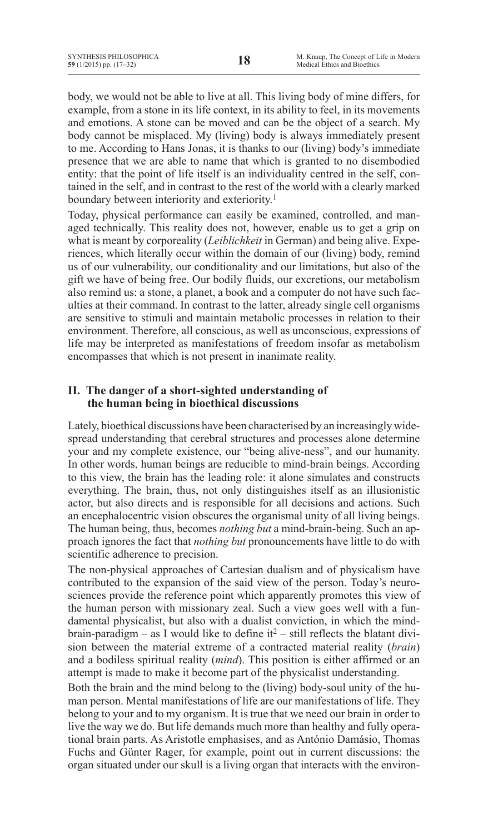body, we would not be able to live at all. This living body of mine differs, for example, from a stone in its life context, in its ability to feel, in its movements and emotions. A stone can be moved and can be the object of a search. My body cannot be misplaced. My (living) body is always immediately present to me. According to Hans Jonas, it is thanks to our (living) body's immediate presence that we are able to name that which is granted to no disembodied entity: that the point of life itself is an individuality centred in the self, contained in the self, and in contrast to the rest of the world with a clearly marked boundary between interiority and exteriority.<sup>1</sup>

Today, physical performance can easily be examined, controlled, and managed technically. This reality does not, however, enable us to get a grip on what is meant by corporeality (*Leiblichkeit* in German) and being alive. Experiences, which literally occur within the domain of our (living) body, remind us of our vulnerability, our conditionality and our limitations, but also of the gift we have of being free. Our bodily fluids, our excretions, our metabolism also remind us: a stone, a planet, a book and a computer do not have such faculties at their command. In contrast to the latter, already single cell organisms are sensitive to stimuli and maintain metabolic processes in relation to their environment. Therefore, all conscious, as well as unconscious, expressions of life may be interpreted as manifestations of freedom insofar as metabolism encompasses that which is not present in inanimate reality.

# **II. The danger of a short-sighted understanding of the human being in bioethical discussions**

Lately, bioethical discussions have been characterised by an increasingly widespread understanding that cerebral structures and processes alone determine your and my complete existence, our "being alive-ness", and our humanity. In other words, human beings are reducible to mind-brain beings. According to this view, the brain has the leading role: it alone simulates and constructs everything. The brain, thus, not only distinguishes itself as an illusionistic actor, but also directs and is responsible for all decisions and actions. Such an encephalocentric vision obscures the organismal unity of all living beings. The human being, thus, becomes *nothing but* a mind-brain-being. Such an approach ignores the fact that *nothing but* pronouncements have little to do with scientific adherence to precision.

The non-physical approaches of Cartesian dualism and of physicalism have contributed to the expansion of the said view of the person. Today's neurosciences provide the reference point which apparently promotes this view of the human person with missionary zeal. Such a view goes well with a fundamental physicalist, but also with a dualist conviction, in which the mindbrain-paradigm – as I would like to define it<sup>2</sup> – still reflects the blatant division between the material extreme of a contracted material reality (*brain*) and a bodiless spiritual reality (*mind*). This position is either affirmed or an attempt is made to make it become part of the physicalist understanding.

Both the brain and the mind belong to the (living) body-soul unity of the human person. Mental manifestations of life are our manifestations of life. They belong to your and to my organism. It is true that we need our brain in order to live the way we do. But life demands much more than healthy and fully operational brain parts. As Aristotle emphasises, and as António Damásio, Thomas Fuchs and Günter Rager, for example, point out in current discussions: the organ situated under our skull is a living organ that interacts with the environ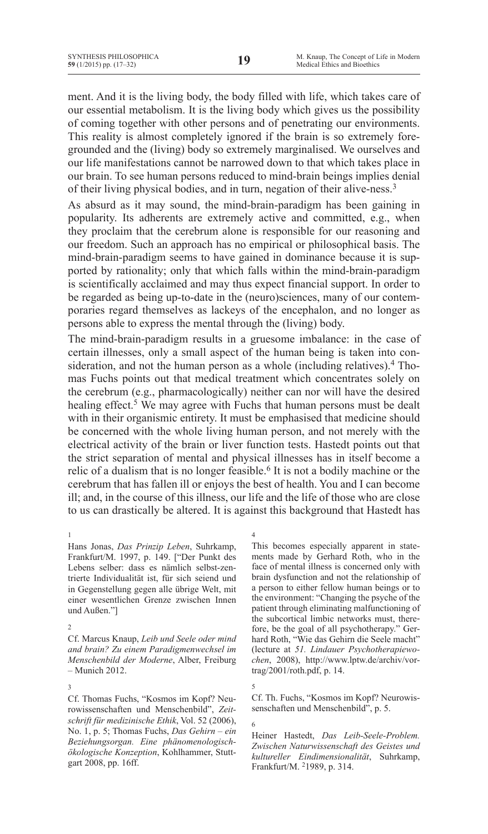ment. And it is the living body, the body filled with life, which takes care of our essential metabolism. It is the living body which gives us the possibility of coming together with other persons and of penetrating our environments. This reality is almost completely ignored if the brain is so extremely foregrounded and the (living) body so extremely marginalised. We ourselves and our life manifestations cannot be narrowed down to that which takes place in our brain. To see human persons reduced to mind-brain beings implies denial of their living physical bodies, and in turn, negation of their alive-ness.3

As absurd as it may sound, the mind-brain-paradigm has been gaining in popularity. Its adherents are extremely active and committed, e.g., when they proclaim that the cerebrum alone is responsible for our reasoning and our freedom. Such an approach has no empirical or philosophical basis. The mind-brain-paradigm seems to have gained in dominance because it is supported by rationality; only that which falls within the mind-brain-paradigm is scientifically acclaimed and may thus expect financial support. In order to be regarded as being up-to-date in the (neuro)sciences, many of our contemporaries regard themselves as lackeys of the encephalon, and no longer as persons able to express the mental through the (living) body.

The mind-brain-paradigm results in a gruesome imbalance: in the case of certain illnesses, only a small aspect of the human being is taken into consideration, and not the human person as a whole (including relatives). $4$  Thomas Fuchs points out that medical treatment which concentrates solely on the cerebrum (e.g., pharmacologically) neither can nor will have the desired healing effect.<sup>5</sup> We may agree with Fuchs that human persons must be dealt with in their organismic entirety. It must be emphasised that medicine should be concerned with the whole living human person, and not merely with the electrical activity of the brain or liver function tests. Hastedt points out that the strict separation of mental and physical illnesses has in itself become a relic of a dualism that is no longer feasible.<sup>6</sup> It is not a bodily machine or the cerebrum that has fallen ill or enjoys the best of health. You and I can become ill; and, in the course of this illness, our life and the life of those who are close to us can drastically be altered. It is against this background that Hastedt has

1

Hans Jonas, *Das Prinzip Leben*, Suhrkamp, Frankfurt/M. 1997, p. 149. ["Der Punkt des Lebens selber: dass es nämlich selbst-zentrierte Individualität ist, für sich seiend und in Gegenstellung gegen alle übrige Welt, mit einer wesentlichen Grenze zwischen Innen und Außen."]

Cf. Marcus Knaup, *Leib und Seele oder mind and brain? Zu einem Paradigmenwechsel im Menschenbild der Moderne*, Alber, Freiburg – Munich 2012.

3 Cf. Thomas Fuchs, "Kosmos im Kopf? Neurowissenschaften und Menschenbild", *Zeitschrift für medizinische Ethik*, Vol. 52 (2006), No. 1, p. 5; Thomas Fuchs, *Das Gehirn – ein Beziehungsorgan. Eine phänomenologischökologische Konzeption*, Kohlhammer, Stuttgart 2008, pp. 16ff.

4

This becomes especially apparent in statements made by Gerhard Roth, who in the face of mental illness is concerned only with brain dysfunction and not the relationship of a person to either fellow human beings or to the environment: "Changing the psyche of the patient through eliminating malfunctioning of the subcortical limbic networks must, therefore, be the goal of all psychotherapy." Gerhard Roth, "Wie das Gehirn die Seele macht" (lecture at *51. Lindauer Psychotherapiewochen*, 2008), http://www.lptw.de/archiv/vortrag/2001/roth.pdf, p. 14.

Cf. Th. Fuchs, "Kosmos im Kopf? Neurowissenschaften und Menschenbild", p. 5.

6

Heiner Hastedt, *Das Leib-Seele-Problem. Zwischen Naturwissenschaft des Geistes und kultureller Eindimensionalität*, Suhrkamp, Frankfurt/M. 21989, p. 314.

<sup>2</sup>

<sup>5</sup>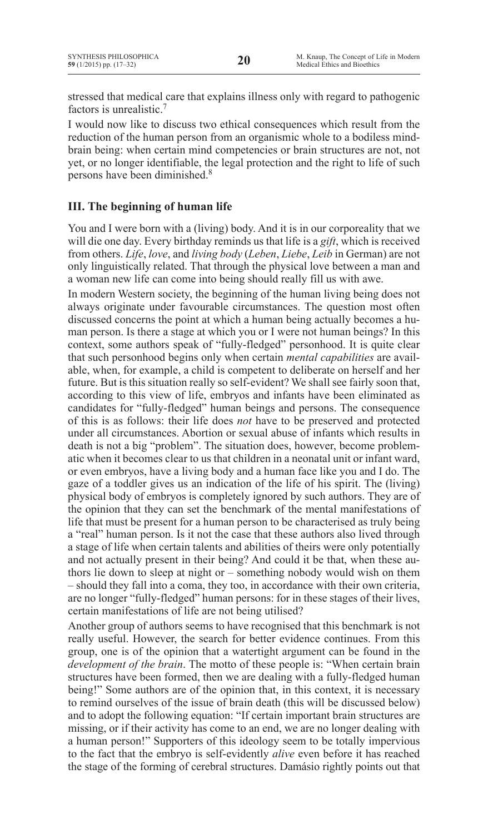stressed that medical care that explains illness only with regard to pathogenic factors is unrealistic.7

I would now like to discuss two ethical consequences which result from the reduction of the human person from an organismic whole to a bodiless mindbrain being: when certain mind competencies or brain structures are not, not yet, or no longer identifiable, the legal protection and the right to life of such persons have been diminished.8

# **III. The beginning of human life**

You and I were born with a (living) body. And it is in our corporeality that we will die one day. Every birthday reminds us that life is a *gift*, which is received from others. *Life*, *love*, and *living body* (*Leben*, *Liebe*, *Leib* in German) are not only linguistically related. That through the physical love between a man and a woman new life can come into being should really fill us with awe.

In modern Western society, the beginning of the human living being does not always originate under favourable circumstances. The question most often discussed concerns the point at which a human being actually becomes a human person. Is there a stage at which you or I were not human beings? In this context, some authors speak of "fully-fledged" personhood. It is quite clear that such personhood begins only when certain *mental capabilities* are available, when, for example, a child is competent to deliberate on herself and her future. But is this situation really so self-evident? We shall see fairly soon that, according to this view of life, embryos and infants have been eliminated as candidates for "fully-fledged" human beings and persons. The consequence of this is as follows: their life does *not* have to be preserved and protected under all circumstances. Abortion or sexual abuse of infants which results in death is not a big "problem". The situation does, however, become problematic when it becomes clear to us that children in a neonatal unit or infant ward, or even embryos, have a living body and a human face like you and I do. The gaze of a toddler gives us an indication of the life of his spirit. The (living) physical body of embryos is completely ignored by such authors. They are of the opinion that they can set the benchmark of the mental manifestations of life that must be present for a human person to be characterised as truly being a "real" human person. Is it not the case that these authors also lived through a stage of life when certain talents and abilities of theirs were only potentially and not actually present in their being? And could it be that, when these authors lie down to sleep at night or – something nobody would wish on them – should they fall into a coma, they too, in accordance with their own criteria, are no longer "fully-fledged" human persons: for in these stages of their lives, certain manifestations of life are not being utilised?

Another group of authors seems to have recognised that this benchmark is not really useful. However, the search for better evidence continues. From this group, one is of the opinion that a watertight argument can be found in the *development of the brain*. The motto of these people is: "When certain brain structures have been formed, then we are dealing with a fully-fledged human being!" Some authors are of the opinion that, in this context, it is necessary to remind ourselves of the issue of brain death (this will be discussed below) and to adopt the following equation: "If certain important brain structures are missing, or if their activity has come to an end, we are no longer dealing with a human person!" Supporters of this ideology seem to be totally impervious to the fact that the embryo is self-evidently *alive* even before it has reached the stage of the forming of cerebral structures. Damásio rightly points out that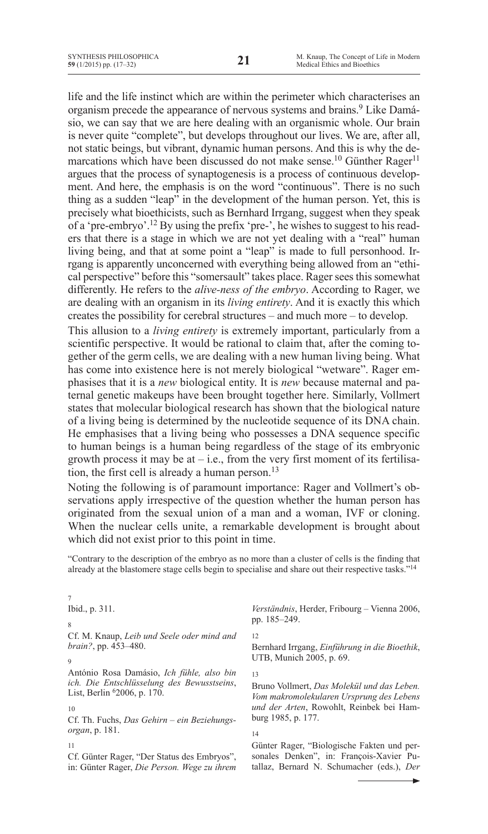life and the life instinct which are within the perimeter which characterises an organism precede the appearance of nervous systems and brains.<sup>9</sup> Like Damásio, we can say that we are here dealing with an organismic whole. Our brain is never quite "complete", but develops throughout our lives. We are, after all, not static beings, but vibrant, dynamic human persons. And this is why the demarcations which have been discussed do not make sense.<sup>10</sup> Günther Rager<sup>11</sup> argues that the process of synaptogenesis is a process of continuous development. And here, the emphasis is on the word "continuous". There is no such thing as a sudden "leap" in the development of the human person. Yet, this is precisely what bioethicists, such as Bernhard Irrgang, suggest when they speak of a 'pre-embryo'.12 By using the prefix 'pre-', he wishes to suggest to his readers that there is a stage in which we are not yet dealing with a "real" human living being, and that at some point a "leap" is made to full personhood. Irrgang is apparently unconcerned with everything being allowed from an "ethical perspective" before this "somersault" takes place. Rager sees this somewhat differently. He refers to the *alive-ness of the embryo*. According to Rager, we are dealing with an organism in its *living entirety*. And it is exactly this which creates the possibility for cerebral structures – and much more – to develop.

This allusion to a *living entirety* is extremely important, particularly from a scientific perspective. It would be rational to claim that, after the coming together of the germ cells, we are dealing with a new human living being. What has come into existence here is not merely biological "wetware". Rager emphasises that it is a *new* biological entity. It is *new* because maternal and paternal genetic makeups have been brought together here. Similarly, Vollmert states that molecular biological research has shown that the biological nature of a living being is determined by the nucleotide sequence of its DNA chain. He emphasises that a living being who possesses a DNA sequence specific to human beings is a human being regardless of the stage of its embryonic growth process it may be at  $-$  i.e., from the very first moment of its fertilisation, the first cell is already a human person.13

Noting the following is of paramount importance: Rager and Vollmert's observations apply irrespective of the question whether the human person has originated from the sexual union of a man and a woman, IVF or cloning. When the nuclear cells unite, a remarkable development is brought about which did not exist prior to this point in time.

"Contrary to the description of the embryo as no more than a cluster of cells is the finding that already at the blastomere stage cells begin to specialise and share out their respective tasks."14

Ibid., p. 311. Cf. M. Knaup, *Leib und Seele oder mind and brain?*, pp. 453–480. António Rosa Damásio, *Ich fühle, also bin ich. Die Entschlüsselung des Bewusstseins*, List, Berlin 62006, p. 170. 10 Cf. Th. Fuchs, *Das Gehirn – ein Beziehungsorgan*, p. 181. 11 Cf. Günter Rager, "Der Status des Embryos", *Verständnis*, Herder, Fribourg – Vienna 2006, pp. 185–249. 12 Bernhard Irrgang, *Einführung in die Bioethik*, UTB, Munich 2005, p. 69. 13 Bruno Vollmert, *Das Molekül und das Leben. Vom makromolekularen Ursprung des Lebens und der Arten*, Rowohlt, Reinbek bei Hamburg 1985, p. 177. 14 Günter Rager, "Biologische Fakten und personales Denken", in: François-Xavier Pu-

tallaz, Bernard N. Schumacher (eds.), *Der* 

9

7

8

in: Günter Rager, *Die Person. Wege zu ihrem*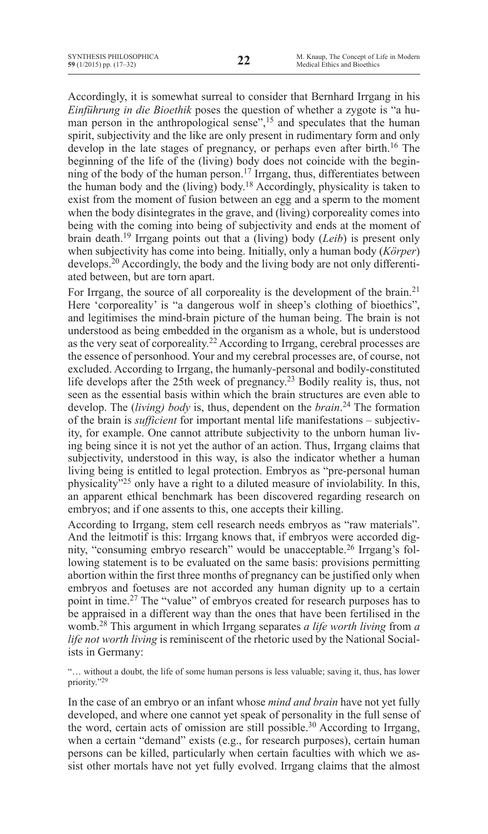Accordingly, it is somewhat surreal to consider that Bernhard Irrgang in his *Einführung in die Bioethik* poses the question of whether a zygote is "a human person in the anthropological sense",<sup>15</sup> and speculates that the human spirit, subjectivity and the like are only present in rudimentary form and only develop in the late stages of pregnancy, or perhaps even after birth.<sup>16</sup> The beginning of the life of the (living) body does not coincide with the beginning of the body of the human person.<sup>17</sup> Irrgang, thus, differentiates between the human body and the (living) body.<sup>18</sup> Accordingly, physicality is taken to exist from the moment of fusion between an egg and a sperm to the moment when the body disintegrates in the grave, and (living) corporeality comes into being with the coming into being of subjectivity and ends at the moment of brain death.<sup>19</sup> Irrgang points out that a (living) body (*Leib*) is present only when subjectivity has come into being. Initially, only a human body (*Körper*) develops.20 Accordingly, the body and the living body are not only differentiated between, but are torn apart.

For Irrgang, the source of all corporeality is the development of the brain.<sup>21</sup> Here 'corporeality' is "a dangerous wolf in sheep's clothing of bioethics", and legitimises the mind-brain picture of the human being. The brain is not understood as being embedded in the organism as a whole, but is understood as the very seat of corporeality.22 According to Irrgang, cerebral processes are the essence of personhood. Your and my cerebral processes are, of course, not excluded. According to Irrgang, the humanly-personal and bodily-constituted life develops after the 25th week of pregnancy.<sup>23</sup> Bodily reality is, thus, not seen as the essential basis within which the brain structures are even able to develop. The (*living) body* is, thus, dependent on the *brain*. <sup>24</sup> The formation of the brain is *sufficient* for important mental life manifestations – subjectivity, for example. One cannot attribute subjectivity to the unborn human living being since it is not yet the author of an action. Thus, Irrgang claims that subjectivity, understood in this way, is also the indicator whether a human living being is entitled to legal protection. Embryos as "pre-personal human physicality"25 only have a right to a diluted measure of inviolability. In this, an apparent ethical benchmark has been discovered regarding research on embryos; and if one assents to this, one accepts their killing.

According to Irrgang, stem cell research needs embryos as "raw materials". And the leitmotif is this: Irrgang knows that, if embryos were accorded dignity, "consuming embryo research" would be unacceptable.26 Irrgang's following statement is to be evaluated on the same basis: provisions permitting abortion within the first three months of pregnancy can be justified only when embryos and foetuses are not accorded any human dignity up to a certain point in time.27 The "value" of embryos created for research purposes has to be appraised in a different way than the ones that have been fertilised in the womb.28 This argument in which Irrgang separates *a life worth living* from *a life not worth living* is reminiscent of the rhetoric used by the National Socialists in Germany:

"… without a doubt, the life of some human persons is less valuable; saving it, thus, has lower priority."29

In the case of an embryo or an infant whose *mind and brain* have not yet fully developed, and where one cannot yet speak of personality in the full sense of the word, certain acts of omission are still possible.<sup>30</sup> According to Irrgang, when a certain "demand" exists (e.g., for research purposes), certain human persons can be killed, particularly when certain faculties with which we assist other mortals have not yet fully evolved. Irrgang claims that the almost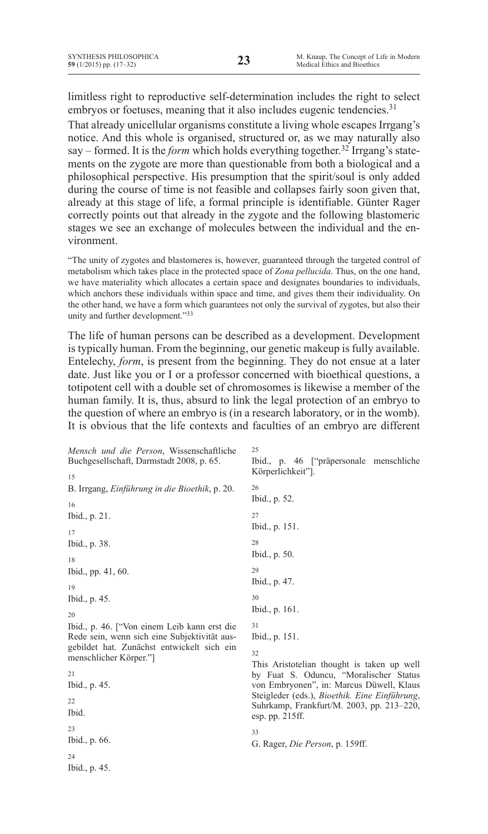limitless right to reproductive self-determination includes the right to select embryos or foetuses, meaning that it also includes eugenic tendencies.<sup>31</sup>

That already unicellular organisms constitute a living whole escapes Irrgang's notice. And this whole is organised, structured or, as we may naturally also say – formed. It is the *form* which holds everything together.32 Irrgang's statements on the zygote are more than questionable from both a biological and a philosophical perspective. His presumption that the spirit/soul is only added during the course of time is not feasible and collapses fairly soon given that, already at this stage of life, a formal principle is identifiable. Günter Rager correctly points out that already in the zygote and the following blastomeric stages we see an exchange of molecules between the individual and the environment.

"The unity of zygotes and blastomeres is, however, guaranteed through the targeted control of metabolism which takes place in the protected space of *Zona pellucida*. Thus, on the one hand, we have materiality which allocates a certain space and designates boundaries to individuals, which anchors these individuals within space and time, and gives them their individuality. On the other hand, we have a form which guarantees not only the survival of zygotes, but also their unity and further development."33

The life of human persons can be described as a development. Development is typically human. From the beginning, our genetic makeup is fully available. Entelechy, *form*, is present from the beginning. They do not ensue at a later date. Just like you or I or a professor concerned with bioethical questions, a totipotent cell with a double set of chromosomes is likewise a member of the human family. It is, thus, absurd to link the legal protection of an embryo to the question of where an embryo is (in a research laboratory, or in the womb). It is obvious that the life contexts and faculties of an embryo are different

*Mensch und die Person*, Wissenschaftliche Buchgesellschaft, Darmstadt 2008, p. 65. 15 B. Irrgang, *Einführung in die Bioethik*, p. 20. 16 Ibid., p. 21. 17 Ibid., p. 38. 18 Ibid., pp. 41, 60. 19 Ibid., p. 45. 20 Ibid., p. 46. ["Von einem Leib kann erst die Rede sein, wenn sich eine Subjektivität ausgebildet hat. Zunächst entwickelt sich ein menschlicher Körper."] 21 Ibid., p. 45. 22 Ibid.  $23$ Ibid., p. 66. 24 Ibid., p. 45. 25 26 27 28 29 30 31 32 33

Ibid., p. 46 ["präpersonale menschliche Körperlichkeit"].

```
Ibid., p. 52.
Ibid., p. 151.
Ibid., p. 50.
Ibid., p. 47.
Ibid., p. 161.
Ibid., p. 151.
```
This Aristotelian thought is taken up well by Fuat S. Oduncu, "Moralischer Status von Embryonen", in: Marcus Düwell, Klaus Steigleder (eds.), *Bioethik. Eine Einführung*, Suhrkamp, Frankfurt/M. 2003, pp. 213–220, esp. pp. 215ff.

G. Rager, *Die Person*, p. 159ff.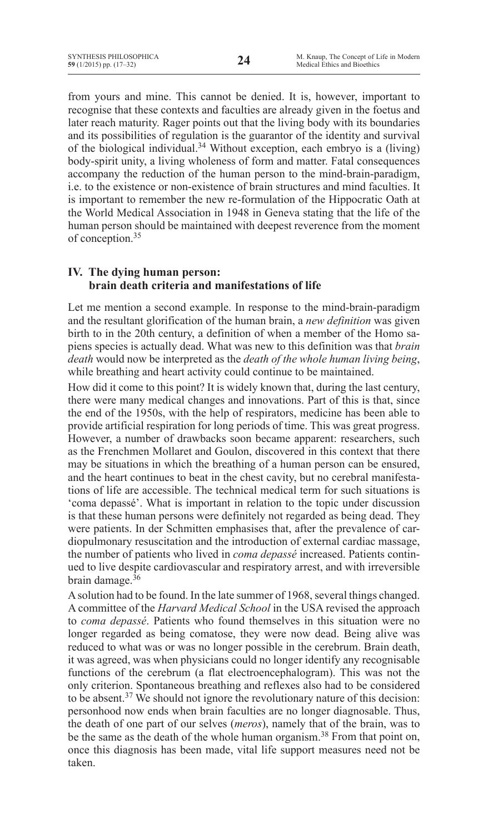from yours and mine. This cannot be denied. It is, however, important to recognise that these contexts and faculties are already given in the foetus and later reach maturity. Rager points out that the living body with its boundaries and its possibilities of regulation is the guarantor of the identity and survival of the biological individual.34 Without exception, each embryo is a (living) body-spirit unity, a living wholeness of form and matter. Fatal consequences accompany the reduction of the human person to the mind-brain-paradigm, i.e. to the existence or non-existence of brain structures and mind faculties. It is important to remember the new re-formulation of the Hippocratic Oath at the World Medical Association in 1948 in Geneva stating that the life of the human person should be maintained with deepest reverence from the moment of conception.35

# **IV. The dying human person: brain death criteria and manifestations of life**

Let me mention a second example. In response to the mind-brain-paradigm and the resultant glorification of the human brain, a *new definition* was given birth to in the 20th century, a definition of when a member of the Homo sapiens species is actually dead. What was new to this definition was that *brain death* would now be interpreted as the *death of the whole human living being*, while breathing and heart activity could continue to be maintained.

How did it come to this point? It is widely known that, during the last century, there were many medical changes and innovations. Part of this is that, since the end of the 1950s, with the help of respirators, medicine has been able to provide artificial respiration for long periods of time. This was great progress. However, a number of drawbacks soon became apparent: researchers, such as the Frenchmen Mollaret and Goulon, discovered in this context that there may be situations in which the breathing of a human person can be ensured, and the heart continues to beat in the chest cavity, but no cerebral manifestations of life are accessible. The technical medical term for such situations is 'coma depassé'. What is important in relation to the topic under discussion is that these human persons were definitely not regarded as being dead. They were patients. In der Schmitten emphasises that, after the prevalence of cardiopulmonary resuscitation and the introduction of external cardiac massage, the number of patients who lived in *coma depassé* increased. Patients continued to live despite cardiovascular and respiratory arrest, and with irreversible brain damage. $36$ 

A solution had to be found. In the late summer of 1968, several things changed. A committee of the *Harvard Medical School* in the USA revised the approach to *coma depassé*. Patients who found themselves in this situation were no longer regarded as being comatose, they were now dead. Being alive was reduced to what was or was no longer possible in the cerebrum. Brain death, it was agreed, was when physicians could no longer identify any recognisable functions of the cerebrum (a flat electroencephalogram). This was not the only criterion. Spontaneous breathing and reflexes also had to be considered to be absent.<sup>37</sup> We should not ignore the revolutionary nature of this decision: personhood now ends when brain faculties are no longer diagnosable. Thus, the death of one part of our selves (*meros*), namely that of the brain, was to be the same as the death of the whole human organism.<sup>38</sup> From that point on, once this diagnosis has been made, vital life support measures need not be taken.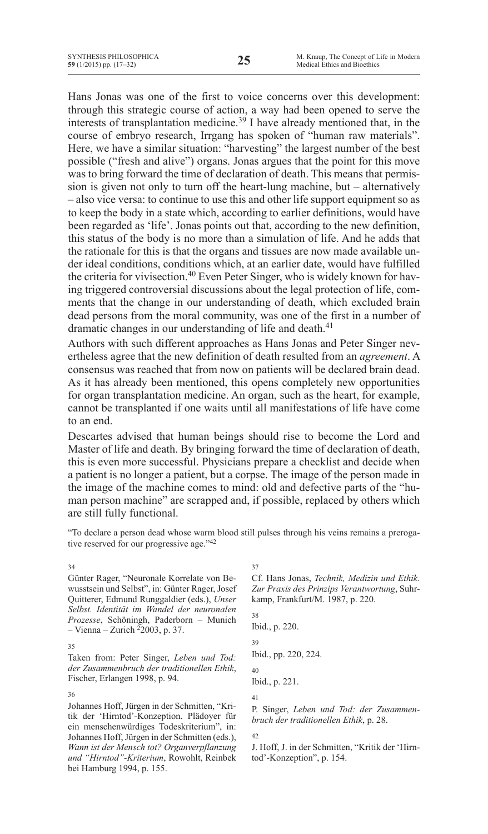Hans Jonas was one of the first to voice concerns over this development: through this strategic course of action, a way had been opened to serve the interests of transplantation medicine.<sup>39</sup> I have already mentioned that, in the course of embryo research, Irrgang has spoken of "human raw materials". Here, we have a similar situation: "harvesting" the largest number of the best possible ("fresh and alive") organs. Jonas argues that the point for this move was to bring forward the time of declaration of death. This means that permission is given not only to turn off the heart-lung machine, but – alternatively – also vice versa: to continue to use this and other life support equipment so as to keep the body in a state which, according to earlier definitions, would have been regarded as 'life'. Jonas points out that, according to the new definition, this status of the body is no more than a simulation of life. And he adds that the rationale for this is that the organs and tissues are now made available under ideal conditions, conditions which, at an earlier date, would have fulfilled the criteria for vivisection.<sup>40</sup> Even Peter Singer, who is widely known for having triggered controversial discussions about the legal protection of life, comments that the change in our understanding of death, which excluded brain dead persons from the moral community, was one of the first in a number of dramatic changes in our understanding of life and death.<sup>41</sup>

Authors with such different approaches as Hans Jonas and Peter Singer nevertheless agree that the new definition of death resulted from an *agreement*. A consensus was reached that from now on patients will be declared brain dead. As it has already been mentioned, this opens completely new opportunities for organ transplantation medicine. An organ, such as the heart, for example, cannot be transplanted if one waits until all manifestations of life have come to an end.

Descartes advised that human beings should rise to become the Lord and Master of life and death. By bringing forward the time of declaration of death, this is even more successful. Physicians prepare a checklist and decide when a patient is no longer a patient, but a corpse. The image of the person made in the image of the machine comes to mind: old and defective parts of the "human person machine" are scrapped and, if possible, replaced by others which are still fully functional.

"To declare a person dead whose warm blood still pulses through his veins remains a prerogative reserved for our progressive age."42

37

#### 34

Günter Rager, "Neuronale Korrelate von Bewusstsein und Selbst", in: Günter Rager,Josef Quitterer, Edmund Runggaldier (eds.), *Unser Selbst. Identität im Wandel der neuronalen Prozesse*, Schöningh, Paderborn – Munich – Vienna – Zurich  $2$ 2003, p. 37.

#### 35

Taken from: Peter Singer, *Leben und Tod: der Zusammenbruch der traditionellen Ethik*, Fischer, Erlangen 1998, p. 94.

### 36

Johannes Hoff, Jürgen in der Schmitten, "Kritik der 'Hirntod'-Konzeption. Plädoyer für ein menschenwürdiges Todeskriterium", in: Johannes Hoff,Jürgen in der Schmitten (eds.), *Wann ist der Mensch tot? Organverpflanzung und "Hirntod"-Kriterium*, Rowohlt, Reinbek bei Hamburg 1994, p. 155.

Cf. Hans Jonas, *Technik, Medizin und Ethik. Zur Praxis des Prinzips Verantwortung*, Suhrkamp, Frankfurt/M. 1987, p. 220.

38 Ibid., p. 220. 39 Ibid., pp. 220, 224. 40 Ibid., p. 221. 41

P. Singer, *Leben und Tod: der Zusammenbruch der traditionellen Ethik*, p. 28.

42

J. Hoff, J. in der Schmitten, "Kritik der 'Hirntod'-Konzeption", p. 154.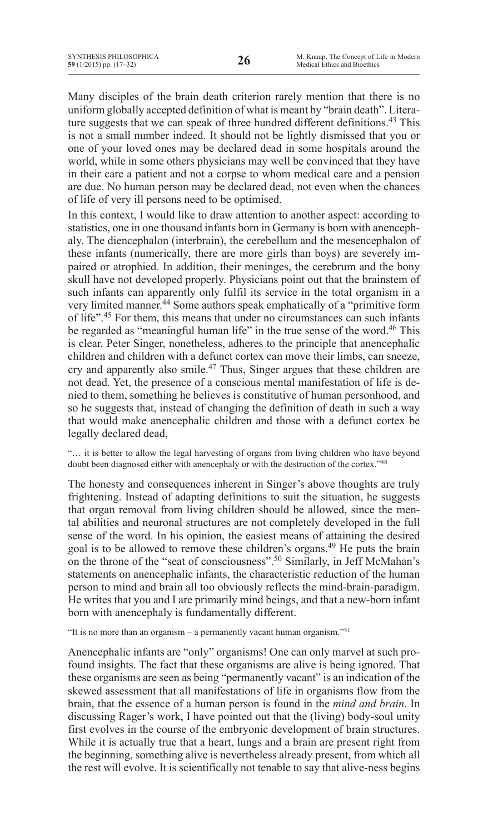Many disciples of the brain death criterion rarely mention that there is no uniform globally accepted definition of what is meant by "brain death". Literature suggests that we can speak of three hundred different definitions.<sup>43</sup> This is not a small number indeed. It should not be lightly dismissed that you or one of your loved ones may be declared dead in some hospitals around the world, while in some others physicians may well be convinced that they have in their care a patient and not a corpse to whom medical care and a pension are due. No human person may be declared dead, not even when the chances of life of very ill persons need to be optimised.

In this context, I would like to draw attention to another aspect: according to statistics, one in one thousand infants born in Germany is born with anencephaly. The diencephalon (interbrain), the cerebellum and the mesencephalon of these infants (numerically, there are more girls than boys) are severely impaired or atrophied. In addition, their meninges, the cerebrum and the bony skull have not developed properly. Physicians point out that the brainstem of such infants can apparently only fulfil its service in the total organism in a very limited manner.<sup>44</sup> Some authors speak emphatically of a "primitive form" of life".45 For them, this means that under no circumstances can such infants be regarded as "meaningful human life" in the true sense of the word.<sup>46</sup> This is clear. Peter Singer, nonetheless, adheres to the principle that anencephalic children and children with a defunct cortex can move their limbs, can sneeze, cry and apparently also smile.47 Thus, Singer argues that these children are not dead. Yet, the presence of a conscious mental manifestation of life is denied to them, something he believes is constitutive of human personhood, and so he suggests that, instead of changing the definition of death in such a way that would make anencephalic children and those with a defunct cortex be legally declared dead,

"… it is better to allow the legal harvesting of organs from living children who have beyond doubt been diagnosed either with anencephaly or with the destruction of the cortex."48

The honesty and consequences inherent in Singer's above thoughts are truly frightening. Instead of adapting definitions to suit the situation, he suggests that organ removal from living children should be allowed, since the mental abilities and neuronal structures are not completely developed in the full sense of the word. In his opinion, the easiest means of attaining the desired goal is to be allowed to remove these children's organs.<sup>49</sup> He puts the brain on the throne of the "seat of consciousness".<sup>50</sup> Similarly, in Jeff McMahan's statements on anencephalic infants, the characteristic reduction of the human person to mind and brain all too obviously reflects the mind-brain-paradigm. He writes that you and I are primarily mind beings, and that a new-born infant born with anencephaly is fundamentally different.

"It is no more than an organism – a permanently vacant human organism."<sup>51</sup>

Anencephalic infants are "only" organisms! One can only marvel at such profound insights. The fact that these organisms are alive is being ignored. That these organisms are seen as being "permanently vacant" is an indication of the skewed assessment that all manifestations of life in organisms flow from the brain, that the essence of a human person is found in the *mind and brain*. In discussing Rager's work, I have pointed out that the (living) body-soul unity first evolves in the course of the embryonic development of brain structures. While it is actually true that a heart, lungs and a brain are present right from the beginning, something alive is nevertheless already present, from which all the rest will evolve. It is scientifically not tenable to say that alive-ness begins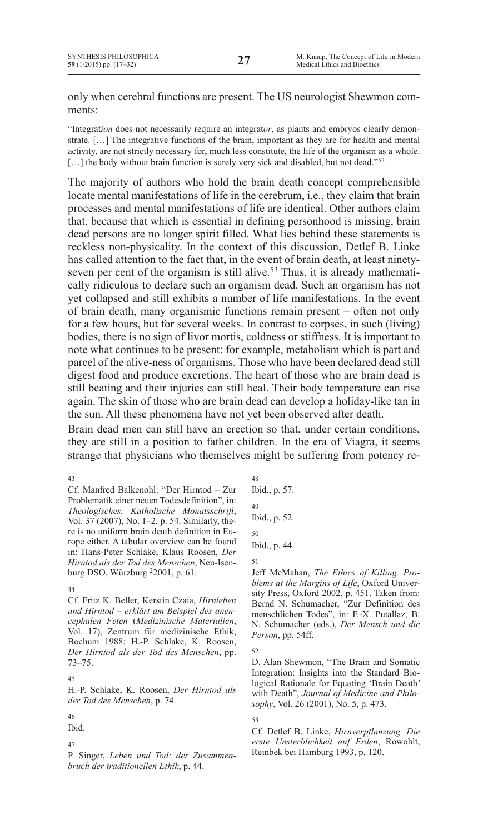only when cerebral functions are present. The US neurologist Shewmon comments:

"Integrat*ion* does not necessarily require an integrat*or*, as plants and embryos clearly demonstrate. […] The integrative functions of the brain, important as they are for health and mental activity, are not strictly necessary for, much less constitute, the life of the organism as a whole. [...] the body without brain function is surely very sick and disabled, but not dead."<sup>52</sup>

The majority of authors who hold the brain death concept comprehensible locate mental manifestations of life in the cerebrum, i.e., they claim that brain processes and mental manifestations of life are identical. Other authors claim that, because that which is essential in defining personhood is missing, brain dead persons are no longer spirit filled. What lies behind these statements is reckless non-physicality. In the context of this discussion, Detlef B. Linke has called attention to the fact that, in the event of brain death, at least ninetyseven per cent of the organism is still alive.<sup>53</sup> Thus, it is already mathematically ridiculous to declare such an organism dead. Such an organism has not yet collapsed and still exhibits a number of life manifestations. In the event of brain death, many organismic functions remain present – often not only for a few hours, but for several weeks. In contrast to corpses, in such (living) bodies, there is no sign of livor mortis, coldness or stiffness. It is important to note what continues to be present: for example, metabolism which is part and parcel of the alive-ness of organisms. Those who have been declared dead still digest food and produce excretions. The heart of those who are brain dead is still beating and their injuries can still heal. Their body temperature can rise again. The skin of those who are brain dead can develop a holiday-like tan in the sun. All these phenomena have not yet been observed after death.

Brain dead men can still have an erection so that, under certain conditions, they are still in a position to father children. In the era of Viagra, it seems strange that physicians who themselves might be suffering from potency re-

43 Cf. Manfred Balkenohl: "Der Hirntod – Zur Problematik einer neuen Todesdefinition", in: *Theologisches. Katholische Monatsschrift*, Vol. 37 (2007), No. 1–2, p. 54. Similarly, there is no uniform brain death definition in Europe either. A tabular overview can be found in: Hans-Peter Schlake, Klaus Roosen, *Der Hirntod als der Tod des Menschen*, Neu-Isenburg DSO, Würzburg 22001, p. 61.

#### 44

Cf. Fritz K. Beller, Kerstin Czaia, *Hirnleben und Hirntod – erklärt am Beispiel des anencephalen Feten* (*Medizinische Materialien*, Vol. 17), Zentrum für medizinische Ethik, Bochum 1988; H.-P. Schlake, K. Roosen, *Der Hirntod als der Tod des Menschen*, pp. 73–75.

#### 45

H.-P. Schlake, K. Roosen, *Der Hirntod als der Tod des Menschen*, p. 74.

# 46

Ibid.

 $47$ 

P. Singer, *Leben und Tod: der Zusammenbruch der traditionellen Ethik*, p. 44.

48 Ibid., p. 57. 49 Ibid., p. 52. 50 Ibid., p. 44. 51

Jeff McMahan, *The Ethics of Killing. Problems at the Margins of Life*, Oxford University Press, Oxford 2002, p. 451. Taken from: Bernd N. Schumacher, "Zur Definition des menschlichen Todes", in: F.-X. Putallaz, B. N. Schumacher (eds.), *Der Mensch und die Person*, pp. 54ff.

52

D. Alan Shewmon, "The Brain and Somatic Integration: Insights into the Standard Biological Rationale for Equating 'Brain Death' with Death", *Journal of Medicine and Philosophy*, Vol. 26 (2001), No. 5, p. 473.

53 Cf. Detlef B. Linke, *Hirnverpflanzung. Die erste Unsterblichkeit auf Erden*, Rowohlt, Reinbek bei Hamburg 1993, p. 120.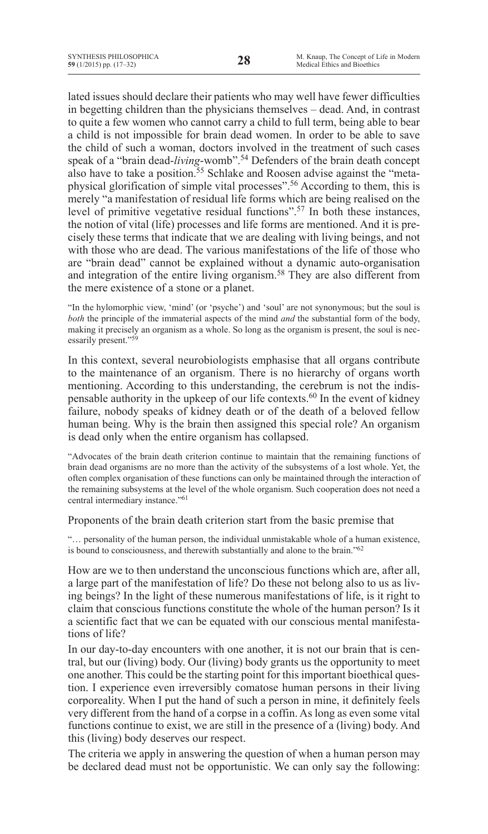lated issues should declare their patients who may well have fewer difficulties in begetting children than the physicians themselves – dead. And, in contrast to quite a few women who cannot carry a child to full term, being able to bear a child is not impossible for brain dead women. In order to be able to save the child of such a woman, doctors involved in the treatment of such cases speak of a "brain dead-*living*-womb".54 Defenders of the brain death concept also have to take a position.<sup>55</sup> Schlake and Roosen advise against the "metaphysical glorification of simple vital processes".56 According to them, this is merely "a manifestation of residual life forms which are being realised on the level of primitive vegetative residual functions".57 In both these instances, the notion of vital (life) processes and life forms are mentioned. And it is precisely these terms that indicate that we are dealing with living beings, and not with those who are dead. The various manifestations of the life of those who are "brain dead" cannot be explained without a dynamic auto-organisation and integration of the entire living organism.<sup>58</sup> They are also different from the mere existence of a stone or a planet.

"In the hylomorphic view, 'mind' (or 'psyche') and 'soul' are not synonymous; but the soul is *both* the principle of the immaterial aspects of the mind *and* the substantial form of the body, making it precisely an organism as a whole. So long as the organism is present, the soul is necessarily present."59

In this context, several neurobiologists emphasise that all organs contribute to the maintenance of an organism. There is no hierarchy of organs worth mentioning. According to this understanding, the cerebrum is not the indispensable authority in the upkeep of our life contexts.60 In the event of kidney failure, nobody speaks of kidney death or of the death of a beloved fellow human being. Why is the brain then assigned this special role? An organism is dead only when the entire organism has collapsed.

"Advocates of the brain death criterion continue to maintain that the remaining functions of brain dead organisms are no more than the activity of the subsystems of a lost whole. Yet, the often complex organisation of these functions can only be maintained through the interaction of the remaining subsystems at the level of the whole organism. Such cooperation does not need a central intermediary instance."61

Proponents of the brain death criterion start from the basic premise that

"… personality of the human person, the individual unmistakable whole of a human existence, is bound to consciousness, and therewith substantially and alone to the brain."62

How are we to then understand the unconscious functions which are, after all, a large part of the manifestation of life? Do these not belong also to us as living beings? In the light of these numerous manifestations of life, is it right to claim that conscious functions constitute the whole of the human person? Is it a scientific fact that we can be equated with our conscious mental manifestations of life?

In our day-to-day encounters with one another, it is not our brain that is central, but our (living) body. Our (living) body grants us the opportunity to meet one another. This could be the starting point for this important bioethical question. I experience even irreversibly comatose human persons in their living corporeality. When I put the hand of such a person in mine, it definitely feels very different from the hand of a corpse in a coffin. As long as even some vital functions continue to exist, we are still in the presence of a (living) body. And this (living) body deserves our respect.

The criteria we apply in answering the question of when a human person may be declared dead must not be opportunistic. We can only say the following: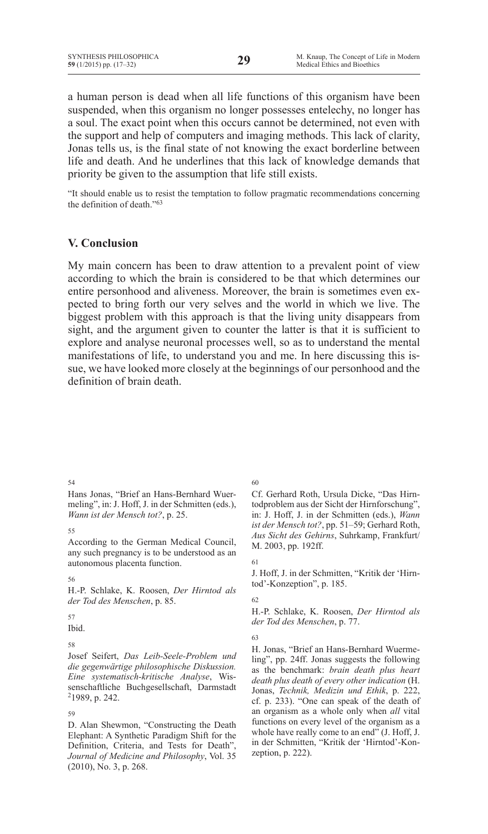a human person is dead when all life functions of this organism have been suspended, when this organism no longer possesses entelechy, no longer has a soul. The exact point when this occurs cannot be determined, not even with the support and help of computers and imaging methods. This lack of clarity, Jonas tells us, is the final state of not knowing the exact borderline between life and death. And he underlines that this lack of knowledge demands that priority be given to the assumption that life still exists.

"It should enable us to resist the temptation to follow pragmatic recommendations concerning the definition of death."63

## **V. Conclusion**

My main concern has been to draw attention to a prevalent point of view according to which the brain is considered to be that which determines our entire personhood and aliveness. Moreover, the brain is sometimes even expected to bring forth our very selves and the world in which we live. The biggest problem with this approach is that the living unity disappears from sight, and the argument given to counter the latter is that it is sufficient to explore and analyse neuronal processes well, so as to understand the mental manifestations of life, to understand you and me. In here discussing this issue, we have looked more closely at the beginnings of our personhood and the definition of brain death.

54

Hans Jonas, "Brief an Hans-Bernhard Wuermeling", in: J. Hoff, J. in der Schmitten (eds.), *Wann ist der Mensch tot?*, p. 25.

55

According to the German Medical Council, any such pregnancy is to be understood as an autonomous placenta function.

56

H.-P. Schlake, K. Roosen, *Der Hirntod als der Tod des Menschen*, p. 85.

57

Ibid.

58

Josef Seifert, *Das Leib-Seele-Problem und die gegenwärtige philosophische Diskussion. Eine systematisch-kritische Analyse*, Wissenschaftliche Buchgesellschaft, Darmstadt 21989, p. 242.

59

D. Alan Shewmon, "Constructing the Death Elephant: A Synthetic Paradigm Shift for the Definition, Criteria, and Tests for Death", *Journal of Medicine and Philosophy*, Vol. 35 (2010), No. 3, p. 268.

60

Cf. Gerhard Roth, Ursula Dicke, "Das Hirntodproblem aus der Sicht der Hirnforschung", in: J. Hoff, J. in der Schmitten (eds.), *Wann ist der Mensch tot?*, pp. 51–59; Gerhard Roth, *Aus Sicht des Gehirns*, Suhrkamp, Frankfurt/ M. 2003, pp. 192ff.

61

J. Hoff, J. in der Schmitten, "Kritik der 'Hirntod'-Konzeption", p. 185.

62

H.-P. Schlake, K. Roosen, *Der Hirntod als der Tod des Menschen*, p. 77.

63

H. Jonas, "Brief an Hans-Bernhard Wuermeling", pp. 24ff. Jonas suggests the following as the benchmark: *brain death plus heart death plus death of every other indication* (H. Jonas, *Technik, Medizin und Ethik*, p. 222, cf. p. 233). "One can speak of the death of an organism as a whole only when *all* vital functions on every level of the organism as a whole have really come to an end" (J. Hoff, J. in der Schmitten, "Kritik der 'Hirntod'-Konzeption, p. 222).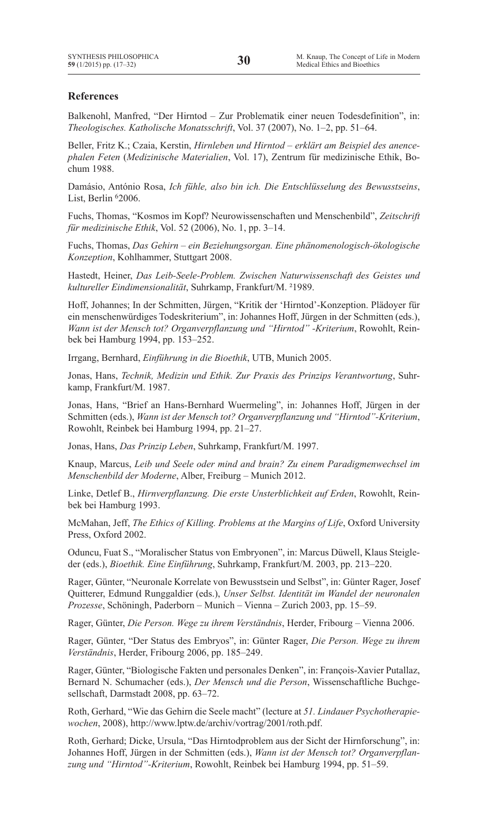## **References**

Balkenohl, Manfred, "Der Hirntod – Zur Problematik einer neuen Todesdefinition", in: *Theologisches. Katholische Monatsschrift*, Vol. 37 (2007), No. 1–2, pp. 51–64.

Beller, Fritz K.; Czaia, Kerstin, *Hirnleben und Hirntod – erklärt am Beispiel des anencephalen Feten* (*Medizinische Materialien*, Vol. 17), Zentrum für medizinische Ethik, Bochum 1988.

Damásio, António Rosa, *Ich fühle, also bin ich. Die Entschlüsselung des Bewusstseins*, List, Berlin <sup>6</sup>2006.

Fuchs, Thomas, "Kosmos im Kopf? Neurowissenschaften und Menschenbild", *Zeitschrift für medizinische Ethik*, Vol. 52 (2006), No. 1, pp. 3–14.

Fuchs, Thomas, *Das Gehirn – ein Beziehungsorgan. Eine phänomenologisch-ökologische Konzeption*, Kohlhammer, Stuttgart 2008.

Hastedt, Heiner, *Das Leib-Seele-Problem. Zwischen Naturwissenschaft des Geistes und kultureller Eindimensionalität*, Suhrkamp, Frankfurt/M. ²1989.

Hoff, Johannes; In der Schmitten, Jürgen, "Kritik der 'Hirntod'-Konzeption. Plädoyer für ein menschenwürdiges Todeskriterium", in: Johannes Hoff, Jürgen in der Schmitten (eds.), *Wann ist der Mensch tot? Organverpflanzung und "Hirntod" -Kriterium*, Rowohlt, Reinbek bei Hamburg 1994, pp. 153–252.

Irrgang, Bernhard, *Einführung in die Bioethik*, UTB, Munich 2005.

Jonas, Hans, *Technik, Medizin und Ethik. Zur Praxis des Prinzips Verantwortung*, Suhrkamp, Frankfurt/M. 1987.

Jonas, Hans, "Brief an Hans-Bernhard Wuermeling", in: Johannes Hoff, Jürgen in der Schmitten (eds.), *Wann ist der Mensch tot? Organverpflanzung und "Hirntod"-Kriterium*, Rowohlt, Reinbek bei Hamburg 1994, pp. 21–27.

Jonas, Hans, *Das Prinzip Leben*, Suhrkamp, Frankfurt/M. 1997.

Knaup, Marcus, *Leib und Seele oder mind and brain? Zu einem Paradigmenwechsel im Menschenbild der Moderne*, Alber, Freiburg – Munich 2012.

Linke, Detlef B., *Hirnverpflanzung. Die erste Unsterblichkeit auf Erden*, Rowohlt, Reinbek bei Hamburg 1993.

McMahan, Jeff, *The Ethics of Killing. Problems at the Margins of Life*, Oxford University Press, Oxford 2002.

Oduncu, Fuat S., "Moralischer Status von Embryonen", in: Marcus Düwell, Klaus Steigleder (eds.), *Bioethik. Eine Einführung*, Suhrkamp, Frankfurt/M. 2003, pp. 213–220.

Rager, Günter, "Neuronale Korrelate von Bewusstsein und Selbst", in: Günter Rager, Josef Quitterer, Edmund Runggaldier (eds.), *Unser Selbst. Identität im Wandel der neuronalen Prozesse*, Schöningh, Paderborn – Munich – Vienna – Zurich 2003, pp. 15–59.

Rager, Günter, *Die Person. Wege zu ihrem Verständnis*, Herder, Fribourg – Vienna 2006.

Rager, Günter, "Der Status des Embryos", in: Günter Rager, *Die Person. Wege zu ihrem Verständnis*, Herder, Fribourg 2006, pp. 185–249.

Rager, Günter, "Biologische Fakten und personales Denken", in: François-Xavier Putallaz, Bernard N. Schumacher (eds.), *Der Mensch und die Person*, Wissenschaftliche Buchgesellschaft, Darmstadt 2008, pp. 63–72.

Roth, Gerhard, "Wie das Gehirn die Seele macht" (lecture at *51. Lindauer Psychotherapiewochen*, 2008), http://www.lptw.de/archiv/vortrag/2001/roth.pdf.

Roth, Gerhard; Dicke, Ursula, "Das Hirntodproblem aus der Sicht der Hirnforschung", in: Johannes Hoff, Jürgen in der Schmitten (eds.), *Wann ist der Mensch tot? Organverpflanzung und "Hirntod"-Kriterium*, Rowohlt, Reinbek bei Hamburg 1994, pp. 51–59.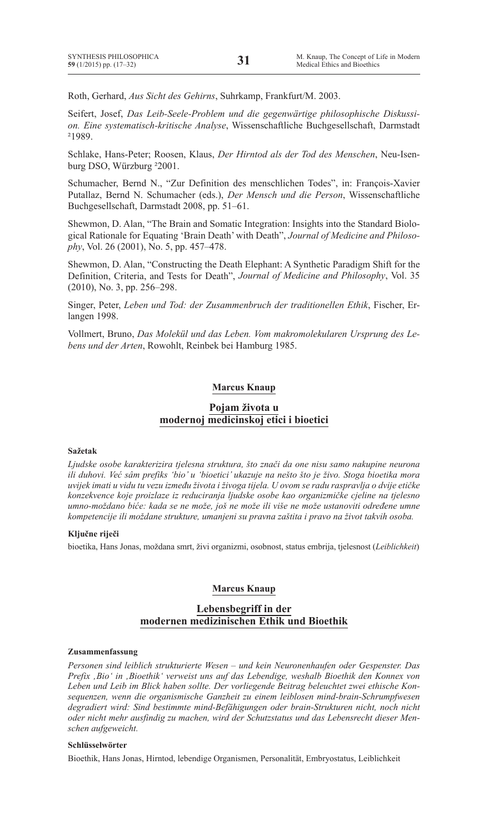Roth, Gerhard, *Aus Sicht des Gehirns*, Suhrkamp, Frankfurt/M. 2003.

Seifert, Josef, *Das Leib-Seele-Problem und die gegenwärtige philosophische Diskussion. Eine systematisch-kritische Analyse*, Wissenschaftliche Buchgesellschaft, Darmstadt ²1989.

Schlake, Hans-Peter; Roosen, Klaus, *Der Hirntod als der Tod des Menschen*, Neu-Isenburg DSO, Würzburg ²2001.

Schumacher, Bernd N., "Zur Definition des menschlichen Todes", in: François-Xavier Putallaz, Bernd N. Schumacher (eds.), *Der Mensch und die Person*, Wissenschaftliche Buchgesellschaft, Darmstadt 2008, pp. 51–61.

Shewmon, D. Alan, "The Brain and Somatic Integration: Insights into the Standard Biological Rationale for Equating 'Brain Death' with Death", *Journal of Medicine and Philosophy*, Vol. 26 (2001), No. 5, pp. 457–478.

Shewmon, D. Alan, "Constructing the Death Elephant: A Synthetic Paradigm Shift for the Definition, Criteria, and Tests for Death", *Journal of Medicine and Philosophy*, Vol. 35 (2010), No. 3, pp. 256–298.

Singer, Peter, *Leben und Tod: der Zusammenbruch der traditionellen Ethik*, Fischer, Erlangen 1998.

Vollmert, Bruno, *Das Molekül und das Leben. Vom makromolekularen Ursprung des Lebens und der Arten*, Rowohlt, Reinbek bei Hamburg 1985.

## **Marcus Knaup**

## **Pojam života u modernoj medicinskoj etici i bioetici**

### **Sažetak**

*Ljudske osobe karakterizira tjelesna struktura, što znači da one nisu samo nakupine neurona ili duhovi. Već sâm prefiks 'bio' u 'bioetici' ukazuje na nešto što je živo. Stoga bioetika mora uvijek imati u vidu tu vezu između života i živoga tijela. U ovom se radu raspravlja o dvije etičke konzekvence koje proizlaze iz reduciranja ljudske osobe kao organizmičke cjeline na tjelesno umno-moždano biće: kada se ne može, još ne može ili više ne može ustanoviti određene umne kompetencije ili moždane strukture, umanjeni su pravna zaštita i pravo na život takvih osoba.*

### **Ključne riječi**

bioetika, Hans Jonas, moždana smrt, živi organizmi, osobnost, status embrija, tjelesnost (*Leiblichkeit*)

### **Marcus Knaup**

## **Lebensbegriff in der modernen medizinischen Ethik und Bioethik**

#### **Zusammenfassung**

*Personen sind leiblich strukturierte Wesen – und kein Neuronenhaufen oder Gespenster. Das Prefix 'Bio' in 'Bioethik' verweist uns auf das Lebendige, weshalb Bioethik den Konnex von Leben und Leib im Blick haben sollte. Der vorliegende Beitrag beleuchtet zwei ethische Konsequenzen, wenn die organismische Ganzheit zu einem leiblosen mind-brain-Schrumpfwesen degradiert wird: Sind bestimmte mind-Befähigungen oder brain-Strukturen nicht, noch nicht oder nicht mehr ausfindig zu machen, wird der Schutzstatus und das Lebensrecht dieser Menschen aufgeweicht.*

### **Schlüsselwörter**

Bioethik, Hans Jonas, Hirntod, lebendige Organismen, Personalität, Embryostatus, Leiblichkeit